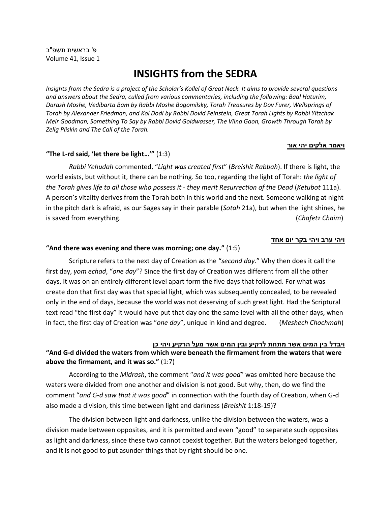# **INSIGHTS from the SEDRA**

*Insights from the Sedra is a project of the Scholar's Kollel of Great Neck. It aims to provide several questions and answers about the Sedra, culled from various commentaries, including the following: Baal Haturim, Darash Moshe, Vedibarta Bam by Rabbi Moshe Bogomilsky, Torah Treasures by Dov Furer, Wellsprings of Torah by Alexander Friedman, and Kol Dodi by Rabbi Dovid Feinstein, Great Torah Lights by Rabbi Yitzchak Meir Goodman, Something To Say by Rabbi Dovid Goldwasser, The Vilna Gaon, Growth Through Torah by Zelig Pliskin and The Call of the Torah.*

#### **ויאמר אלקים יהי אור**

# **"The L-rd said, 'let there be light…'"** (1:3)

*Rabbi Yehudah* commented, "*Light was created first*" (*Breishit Rabbah*). If there is light, the world exists, but without it, there can be nothing. So too, regarding the light of Torah: *the light of the Torah gives life to all those who possess it - they merit Resurrection of the Dead* (*Ketubot* 111a). A person's vitality derives from the Torah both in this world and the next. Someone walking at night in the pitch dark is afraid, as our Sages say in their parable (*Sotah* 21a), but when the light shines, he is saved from everything. (*Chafetz Chaim*)

# **ויהי ערב וי הי בקר יום אחד**

#### **"And there was evening and there was morning; one day."** (1:5)

Scripture refers to the next day of Creation as the "*second day*." Why then does it call the first day, *yom echad*, "*one day*"? Since the first day of Creation was different from all the other days, it was on an entirely different level apart form the five days that followed. For what was create don that first day was that special light, which was subsequently concealed, to be revealed only in the end of days, because the world was not deserving of such great light. Had the Scriptural text read "the first day" it would have put that day one the same level with all the other days, when in fact, the first day of Creation was "*one day*", unique in kind and degree. (*Meshech Chochmah*)

# **ויבדל בין המים אשר מת חת לר קיע ובין המים אשר מעל הרקיע וי הי כן**

# **"And G-d divided the waters from which were beneath the firmament from the waters that were above the firmament, and it was so."** (1:7)

According to the *Midrash*, the comment "*and it was good*" was omitted here because the waters were divided from one another and division is not good. But why, then, do we find the comment "*and G-d saw that it was good*" in connection with the fourth day of Creation, when G-d also made a division, this time between light and darkness (*Breishit* 1:18-19)?

The division between light and darkness, unlike the division between the waters, was a division made between opposites, and it is permitted and even "good" to separate such opposites as light and darkness, since these two cannot coexist together. But the waters belonged together, and it Is not good to put asunder things that by right should be one.